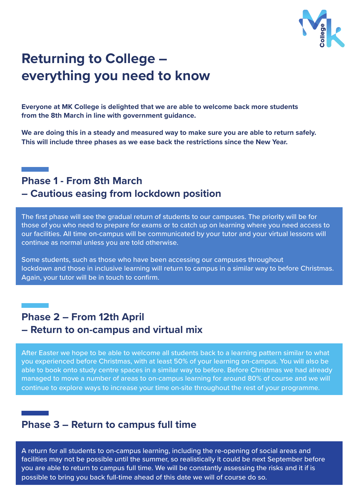

# **Returning to College – everything you need to know**

**Everyone at MK College is delighted that we are able to welcome back more students from the 8th March in line with government guidance.**

**We are doing this in a steady and measured way to make sure you are able to return safely. This will include three phases as we ease back the restrictions since the New Year.**

# **Phase 1 - From 8th March – Cautious easing from lockdown position**

The first phase will see the gradual return of students to our campuses. The priority will be for those of you who need to prepare for exams or to catch up on learning where you need access to our facilities. All time on-campus will be communicated by your tutor and your virtual lessons will continue as normal unless you are told otherwise.

Some students, such as those who have been accessing our campuses throughout lockdown and those in inclusive learning will return to campus in a similar way to before Christmas. Again, your tutor will be in touch to confirm.

# **Phase 2 – From 12th April – Return to on-campus and virtual mix**

After Easter we hope to be able to welcome all students back to a learning pattern similar to what you experienced before Christmas, with at least 50% of your learning on-campus. You will also be able to book onto study centre spaces in a similar way to before. Before Christmas we had already managed to move a number of areas to on-campus learning for around 80% of course and we will continue to explore ways to increase your time on-site throughout the rest of your programme.

### **Phase 3 – Return to campus full time**

A return for all students to on-campus learning, including the re-opening of social areas and facilities may not be possible until the summer, so realistically it could be next September before you are able to return to campus full time. We will be constantly assessing the risks and it if is possible to bring you back full-time ahead of this date we will of course do so.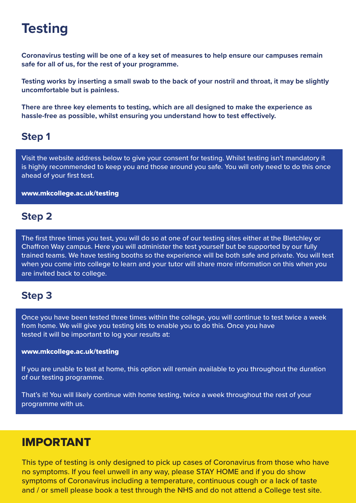# **Testing**

**Coronavirus testing will be one of a key set of measures to help ensure our campuses remain safe for all of us, for the rest of your programme.**

**Testing works by inserting a small swab to the back of your nostril and throat, it may be slightly uncomfortable but is painless.**

**There are three key elements to testing, which are all designed to make the experience as hassle-free as possible, whilst ensuring you understand how to test effectively.**

# **Step 1**

Visit the website address below to give your consent for testing. Whilst testing isn't mandatory it is highly recommended to keep you and those around you safe. You will only need to do this once ahead of your first test.

www.mkcollege.ac.uk/testing

### **Step 2**

The first three times you test, you will do so at one of our testing sites either at the Bletchley or Chaffron Way campus. Here you will administer the test yourself but be supported by our fully trained teams. We have testing booths so the experience will be both safe and private. You will test when you come into college to learn and your tutor will share more information on this when you are invited back to college.

# **Step 3**

Once you have been tested three times within the college, you will continue to test twice a week from home. We will give you testing kits to enable you to do this. Once you have tested it will be important to log your results at:

#### www.mkcollege.ac.uk/testing

If you are unable to test at home, this option will remain available to you throughout the duration of our testing programme.

That's it! You will likely continue with home testing, twice a week throughout the rest of your programme with us.

### IMPORTANT

This type of testing is only designed to pick up cases of Coronavirus from those who have no symptoms. If you feel unwell in any way, please STAY HOME and if you do show symptoms of Coronavirus including a temperature, continuous cough or a lack of taste and / or smell please book a test through the NHS and do not attend a College test site.